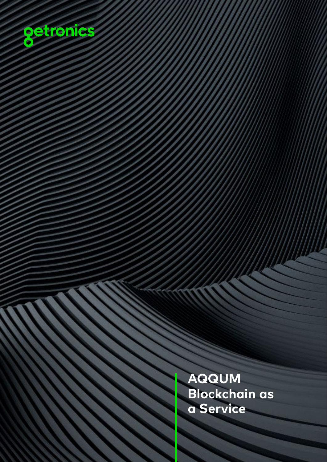

**AQQUM Blockchain as a Service**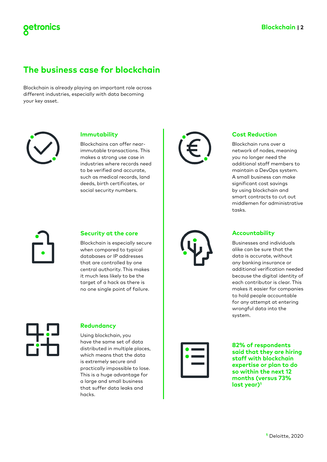# **The business case for blockchain**

Blockchain is already playing an important role across different industries, especially with data becoming your key asset.



getronics

### **Immutability**

Blockchains can offer nearimmutable transactions. This makes a strong use case in industries where records need to be verified and accurate, such as medical records, land deeds, birth certificates, or social security numbers.



#### **Security at the core**

Blockchain is especially secure when compared to typical databases or IP addresses that are controlled by one central authority. This makes it much less likely to be the target of a hack as there is no one single point of failure.



### **Redundancy**

Using blockchain, you have the same set of data distributed in multiple places, which means that the data is extremely secure and practically impossible to lose. This is a huge advantage for a large and small business that suffer data leaks and hacks.





### **Cost Reduction**

Blockchain runs over a network of nodes, meaning you no longer need the additional staff members to maintain a DevOps system. A small business can make significant cost savings by using blockchain and smart contracts to cut out middlemen for administrative tasks.

### **Accountability**

Businesses and individuals alike can be sure that the data is accurate, without any banking insurance or additional verification needed because the digital identity of each contributor is clear. This makes it easier for companies to hold people accountable for any attempt at entering wrongful data into the system.



**82% of respondents said that they are hiring staff with blockchain expertise or plan to do so within the next 12 months (versus 73% last year)1**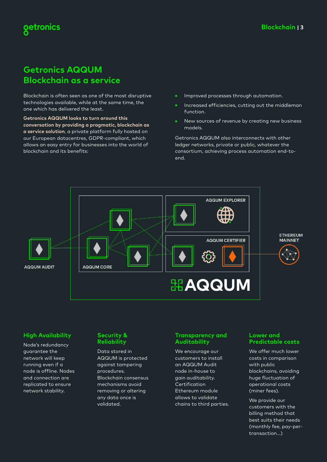# **Getronics AQQUM Blockchain as a service**

Blockchain is often seen as one of the most disruptive technologies available, while at the same time, the one which has delivered the least.

**Getronics AQQUM looks to turn around this conversation by providing a pragmatic, blockchain as a service solution**, a private platform fully hosted on our European datacentres, GDPR-compliant, which allows an easy entry for businesses into the world of blockchain and its benefits:

- $\bullet$ Improved processes through automation.
- Increased efficiencies, cutting out the middleman function.
- New sources of revenue by creating new business models.

Getronics AQQUM also interconnects with other ledger networks, private or public, whatever the consortium, achieving process automation end-toend.



### **High Availability**

Node's redundancy guarantee the network will keep running even if a node is offline. Nodes and connection are replicated to ensure network stability.

#### **Security & Reliability**

Data stored in AQQUM is protected against tampering procedures. Blockchain consensus mechanisms avoid removing or altering any data once is validated.

#### **Transparency and Auditability**

We encourage our customers to install an AQQUM Audit node in-house to gain auditability. Certification Ethereum module allows to validate chains to third parties.

#### **Lower and Predictable costs**

We offer much lower costs in comparison with public blockchains, avoiding huge fluctuation of operational costs (miner fees).

We provide our customers with the billing method that best suits their needs (monthly fee, pay-pertransaction...)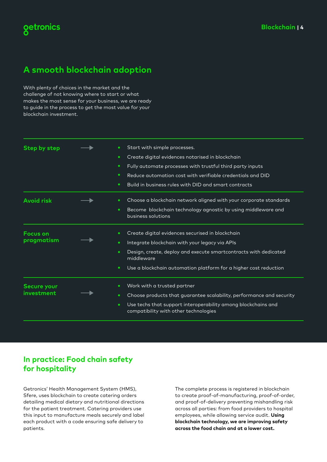# getronics

# **A smooth blockchain adoption**

With plenty of choices in the market and the challenge of not knowing where to start or what makes the most sense for your business, we are ready to guide in the process to get the most value for your blockchain investment.

| Step by step                     | Start with simple processes.<br>Create digital evidences notarised in blockchain<br>٠<br>Fully automate processes with trustful third party inputs<br>٠<br>Reduce automation cost with verifiable credentials and DID<br>٠<br>Build in business rules with DID and smart contracts<br>٠ |
|----------------------------------|-----------------------------------------------------------------------------------------------------------------------------------------------------------------------------------------------------------------------------------------------------------------------------------------|
| <b>Avoid risk</b>                | Choose a blockchain network aligned with your corporate standards<br>٠<br>Become blockchain technology agnostic by using middleware and<br>٠<br>business solutions                                                                                                                      |
| <b>Focus on</b><br>pragmatism    | Create digital evidences securised in blockchain<br>٠<br>Integrate blockchain with your legacy via APIs<br>٠<br>Design, create, deploy and execute smartcontracts with dedicated<br>٠<br>middleware<br>Use a blockchain automation platform for a higher cost reduction<br>٠            |
| <b>Secure your</b><br>investment | Work with a trusted partner<br>Choose products that guarantee scalability, performance and security<br>٠<br>Use techs that support interoperability among blockchains and<br>٠<br>compatibility with other technologies                                                                 |

### **In practice: Food chain safety for hospitality**

Getronics' Health Management System (HMS), Sfere, uses blockchain to create catering orders detailing medical dietary and nutritional directions for the patient treatment. Catering providers use this input to manufacture meals securely and label each product with a code ensuring safe delivery to patients.

The complete process is registered in blockchain to create proof-of-manufacturing, proof-of-order, and proof-of-delivery preventing mishandling risk across all parties: from food providers to hospital employees, while allowing service audit. **Using blockchain technology, we are improving safety across the food chain and at a lower cost.**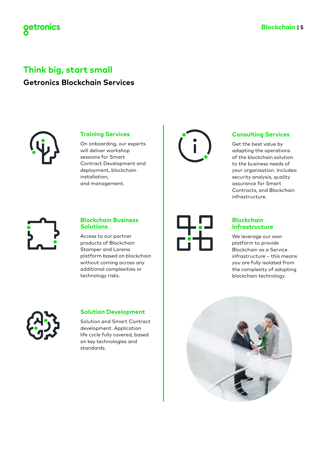

# **Think big, start small Getronics Blockchain Services**



### **Training Services**

On onboarding, our experts will deliver workshop sessions for Smart Contract Development and deployment, blockchain installation, and management.



### **Blockchain Business Solutions**

Access to our partner products of Blockchain Stamper and Lorena platform based on blockchain without coming across any additional complexities or technology risks.



### **Solution Development**

Solution and Smart Contract development. Application life cycle fully covered, based on key technologies and standards.





### **Consulting Services**

Get the best value by adapting the operations of the blockchain solution to the business needs of your organisation. Includes: security analysis, quality assurance for Smart Contracts, and Blockchain infrastructure.

### **Blockchain Infrastructure**

We leverage our own platform to provide Blockchain as a Service infrastructure – this means you are fully isolated from the complexity of adopting blockchain technology.